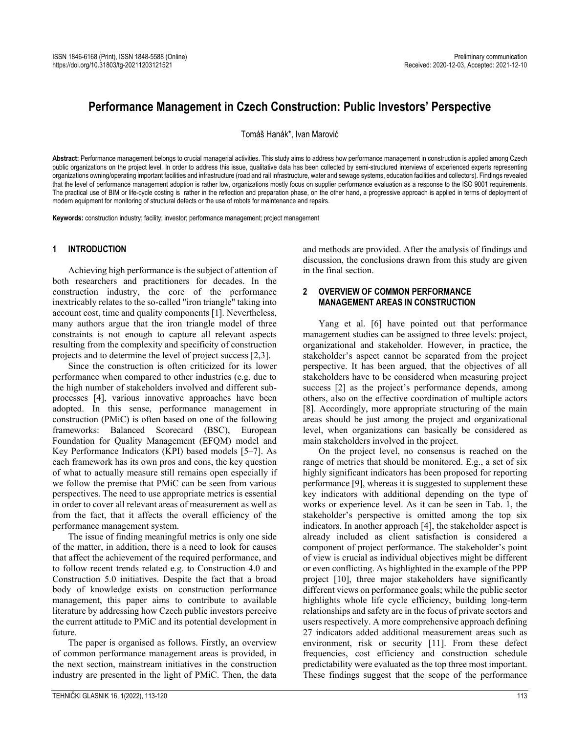# **Performance Management in Czech Construction: Public Investors' Perspective**

Tomáš Hanák\*, Ivan Marović

**Abstract:** Performance management belongs to crucial managerial activities. This study aims to address how performance management in construction is applied among Czech public organizations on the project level. In order to address this issue, qualitative data has been collected by semi-structured interviews of experienced experts representing organizations owning/operating important facilities and infrastructure (road and rail infrastructure, water and sewage systems, education facilities and collectors). Findings revealed that the level of performance management adoption is rather low, organizations mostly focus on supplier performance evaluation as a response to the ISO 9001 requirements. The practical use of BIM or life-cycle costing is rather in the reflection and preparation phase, on the other hand, a progressive approach is applied in terms of deployment of modern equipment for monitoring of structural defects or the use of robots for maintenance and repairs.

**Keywords:** construction industry; facility; investor; performance management; project management

## **1 INTRODUCTION**

Achieving high performance is the subject of attention of both researchers and practitioners for decades. In the construction industry, the core of the performance inextricably relates to the so-called "iron triangle" taking into account cost, time and quality components [1]. Nevertheless, many authors argue that the iron triangle model of three constraints is not enough to capture all relevant aspects resulting from the complexity and specificity of construction projects and to determine the level of project success [2,3].

Since the construction is often criticized for its lower performance when compared to other industries (e.g. due to the high number of stakeholders involved and different subprocesses [4], various innovative approaches have been adopted. In this sense, performance management in construction (PMiC) is often based on one of the following frameworks: Balanced Scorecard (BSC), European Foundation for Quality Management (EFQM) model and Key Performance Indicators (KPI) based models [5–7]. As each framework has its own pros and cons, the key question of what to actually measure still remains open especially if we follow the premise that PMiC can be seen from various perspectives. The need to use appropriate metrics is essential in order to cover all relevant areas of measurement as well as from the fact, that it affects the overall efficiency of the performance management system.

The issue of finding meaningful metrics is only one side of the matter, in addition, there is a need to look for causes that affect the achievement of the required performance, and to follow recent trends related e.g. to Construction 4.0 and Construction 5.0 initiatives. Despite the fact that a broad body of knowledge exists on construction performance management, this paper aims to contribute to available literature by addressing how Czech public investors perceive the current attitude to PMiC and its potential development in future.

The paper is organised as follows. Firstly, an overview of common performance management areas is provided, in the next section, mainstream initiatives in the construction industry are presented in the light of PMiC. Then, the data and methods are provided. After the analysis of findings and discussion, the conclusions drawn from this study are given in the final section.

## **2 OVERVIEW OF COMMON PERFORMANCE MANAGEMENT AREAS IN CONSTRUCTION**

Yang et al. [6] have pointed out that performance management studies can be assigned to three levels: project, organizational and stakeholder. However, in practice, the stakeholder's aspect cannot be separated from the project perspective. It has been argued, that the objectives of all stakeholders have to be considered when measuring project success [2] as the project's performance depends, among others, also on the effective coordination of multiple actors [8]. Accordingly, more appropriate structuring of the main areas should be just among the project and organizational level, when organizations can basically be considered as main stakeholders involved in the project.

On the project level, no consensus is reached on the range of metrics that should be monitored. E.g., a set of six highly significant indicators has been proposed for reporting performance [9], whereas it is suggested to supplement these key indicators with additional depending on the type of works or experience level. As it can be seen in Tab. 1, the stakeholder's perspective is omitted among the top six indicators. In another approach [4], the stakeholder aspect is already included as client satisfaction is considered a component of project performance. The stakeholder's point of view is crucial as individual objectives might be different or even conflicting. As highlighted in the example of the PPP project [10], three major stakeholders have significantly different views on performance goals; while the public sector highlights whole life cycle efficiency, building long-term relationships and safety are in the focus of private sectors and users respectively. A more comprehensive approach defining 27 indicators added additional measurement areas such as environment, risk or security [11]. From these defect frequencies, cost efficiency and construction schedule predictability were evaluated as the top three most important. These findings suggest that the scope of the performance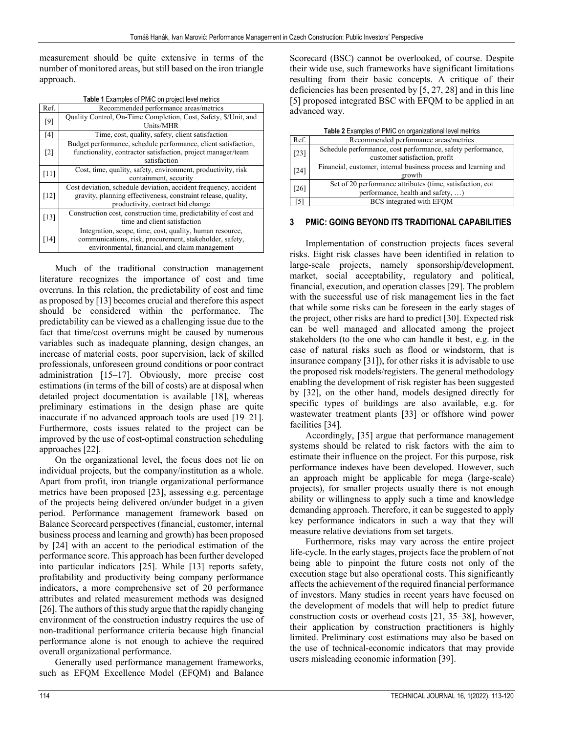measurement should be quite extensive in terms of the number of monitored areas, but still based on the iron triangle approach.

| Table 1 Examples of PMIC on project level metrics |                                                                  |  |  |  |
|---------------------------------------------------|------------------------------------------------------------------|--|--|--|
| Ref.                                              | Recommended performance areas/metrics                            |  |  |  |
| [9]                                               | Quality Control, On-Time Completion, Cost, Safety, \$/Unit, and  |  |  |  |
|                                                   | Units/MHR                                                        |  |  |  |
| [4]                                               | Time, cost, quality, safety, client satisfaction                 |  |  |  |
| $\lceil 2 \rceil$                                 | Budget performance, schedule performance, client satisfaction,   |  |  |  |
|                                                   | functionality, contractor satisfaction, project manager/team     |  |  |  |
|                                                   | satisfaction                                                     |  |  |  |
| $[11]$                                            | Cost, time, quality, safety, environment, productivity, risk     |  |  |  |
|                                                   | containment, security                                            |  |  |  |
| [12]                                              | Cost deviation, schedule deviation, accident frequency, accident |  |  |  |
|                                                   | gravity, planning effectiveness, constraint release, quality,    |  |  |  |
|                                                   | productivity, contract bid change                                |  |  |  |
| $[13]$                                            | Construction cost, construction time, predictability of cost and |  |  |  |
|                                                   | time and client satisfaction                                     |  |  |  |
|                                                   | Integration, scope, time, cost, quality, human resource,         |  |  |  |
| $[14]$                                            | communications, risk, procurement, stakeholder, safety,          |  |  |  |
|                                                   | environmental, financial, and claim management                   |  |  |  |

Much of the traditional construction management literature recognizes the importance of cost and time overruns. In this relation, the predictability of cost and time as proposed by [13] becomes crucial and therefore this aspect should be considered within the performance. The predictability can be viewed as a challenging issue due to the fact that time/cost overruns might be caused by numerous variables such as inadequate planning, design changes, an increase of material costs, poor supervision, lack of skilled professionals, unforeseen ground conditions or poor contract administration [15–17]. Obviously, more precise cost estimations (in terms of the bill of costs) are at disposal when detailed project documentation is available [18], whereas preliminary estimations in the design phase are quite inaccurate if no advanced approach tools are used [19–21]. Furthermore, costs issues related to the project can be improved by the use of cost-optimal construction scheduling approaches [22].

On the organizational level, the focus does not lie on individual projects, but the company/institution as a whole. Apart from profit, iron triangle organizational performance metrics have been proposed [23], assessing e.g. percentage of the projects being delivered on/under budget in a given period. Performance management framework based on Balance Scorecard perspectives (financial, customer, internal business process and learning and growth) has been proposed by [24] with an accent to the periodical estimation of the performance score. This approach has been further developed into particular indicators [25]. While [13] reports safety, profitability and productivity being company performance indicators, a more comprehensive set of 20 performance attributes and related measurement methods was designed [26]. The authors of this study argue that the rapidly changing environment of the construction industry requires the use of non-traditional performance criteria because high financial performance alone is not enough to achieve the required overall organizational performance.

Generally used performance management frameworks, such as EFQM Excellence Model (EFQM) and Balance

Scorecard (BSC) cannot be overlooked, of course. Despite their wide use, such frameworks have significant limitations resulting from their basic concepts. A critique of their deficiencies has been presented by [5, 27, 28] and in this line [5] proposed integrated BSC with EFQM to be applied in an advanced way.

| <b>Table 2</b> Examples of PMIC on organizational level metrics |  |
|-----------------------------------------------------------------|--|

| <b>Table 2</b> Examples of PMiC on organizational level metrics |  |  |  |  |
|-----------------------------------------------------------------|--|--|--|--|
| Recommended performance areas/metrics                           |  |  |  |  |
| Schedule performance, cost performance, safety performance,     |  |  |  |  |
| customer satisfaction, profit                                   |  |  |  |  |
| Financial, customer, internal business process and learning and |  |  |  |  |
| growth                                                          |  |  |  |  |
| Set of 20 performance attributes (time, satisfaction, cot       |  |  |  |  |
| performance, health and safety, )                               |  |  |  |  |
| BCS integrated with EFQM                                        |  |  |  |  |
|                                                                 |  |  |  |  |

## **3 PMiC: GOING BEYOND ITS TRADITIONAL CAPABILITIES**

Implementation of construction projects faces several risks. Eight risk classes have been identified in relation to large-scale projects, namely sponsorship/development, market, social acceptability, regulatory and political, financial, execution, and operation classes [29]. The problem with the successful use of risk management lies in the fact that while some risks can be foreseen in the early stages of the project, other risks are hard to predict [30]. Expected risk can be well managed and allocated among the project stakeholders (to the one who can handle it best, e.g. in the case of natural risks such as flood or windstorm, that is insurance company [31]), for other risks it is advisable to use the proposed risk models/registers. The general methodology enabling the development of risk register has been suggested by [32], on the other hand, models designed directly for specific types of buildings are also available, e.g. for wastewater treatment plants [33] or offshore wind power facilities [34].

Accordingly, [35] argue that performance management systems should be related to risk factors with the aim to estimate their influence on the project. For this purpose, risk performance indexes have been developed. However, such an approach might be applicable for mega (large-scale) projects), for smaller projects usually there is not enough ability or willingness to apply such a time and knowledge demanding approach. Therefore, it can be suggested to apply key performance indicators in such a way that they will measure relative deviations from set targets.

Furthermore, risks may vary across the entire project life-cycle. In the early stages, projects face the problem of not being able to pinpoint the future costs not only of the execution stage but also operational costs. This significantly affects the achievement of the required financial performance of investors. Many studies in recent years have focused on the development of models that will help to predict future construction costs or overhead costs [21, 35–38], however, their application by construction practitioners is highly limited. Preliminary cost estimations may also be based on the use of technical-economic indicators that may provide users misleading economic information [39].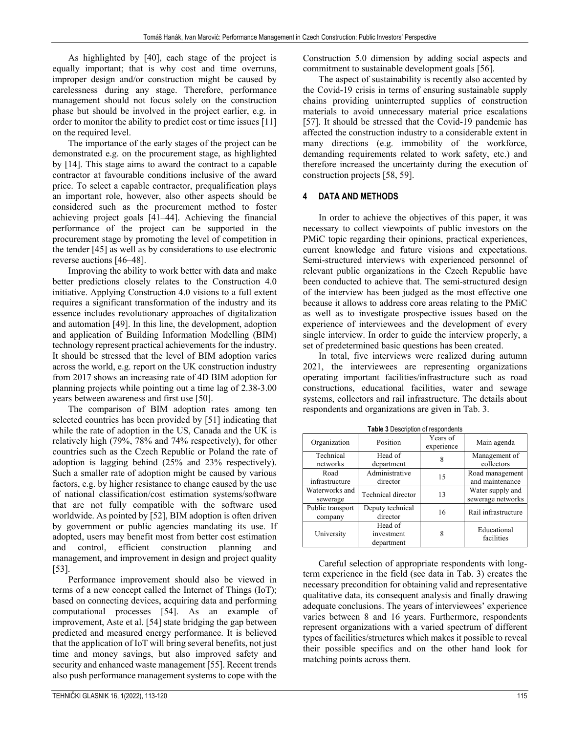As highlighted by [40], each stage of the project is equally important; that is why cost and time overruns, improper design and/or construction might be caused by carelessness during any stage. Therefore, performance management should not focus solely on the construction phase but should be involved in the project earlier, e.g. in order to monitor the ability to predict cost or time issues [11] on the required level.

The importance of the early stages of the project can be demonstrated e.g. on the procurement stage, as highlighted by [14]. This stage aims to award the contract to a capable contractor at favourable conditions inclusive of the award price. To select a capable contractor, prequalification plays an important role, however, also other aspects should be considered such as the procurement method to foster achieving project goals [41–44]. Achieving the financial performance of the project can be supported in the procurement stage by promoting the level of competition in the tender [45] as well as by considerations to use electronic reverse auctions [46–48].

Improving the ability to work better with data and make better predictions closely relates to the Construction 4.0 initiative. Applying Construction 4.0 visions to a full extent requires a significant transformation of the industry and its essence includes revolutionary approaches of digitalization and automation [49]. In this line, the development, adoption and application of Building Information Modelling (BIM) technology represent practical achievements for the industry. It should be stressed that the level of BIM adoption varies across the world, e.g. report on the UK construction industry from 2017 shows an increasing rate of 4D BIM adoption for planning projects while pointing out a time lag of 2.38-3.00 years between awareness and first use [50].

The comparison of BIM adoption rates among ten selected countries has been provided by [51] indicating that while the rate of adoption in the US, Canada and the UK is relatively high (79%, 78% and 74% respectively), for other countries such as the Czech Republic or Poland the rate of adoption is lagging behind (25% and 23% respectively). Such a smaller rate of adoption might be caused by various factors, e.g. by higher resistance to change caused by the use of national classification/cost estimation systems/software that are not fully compatible with the software used worldwide. As pointed by [52], BIM adoption is often driven by government or public agencies mandating its use. If adopted, users may benefit most from better cost estimation and control, efficient construction planning and management, and improvement in design and project quality [53].

Performance improvement should also be viewed in terms of a new concept called the Internet of Things (IoT); based on connecting devices, acquiring data and performing computational processes [54]. As an example of improvement, Aste et al. [54] state bridging the gap between predicted and measured energy performance. It is believed that the application of IoT will bring several benefits, not just time and money savings, but also improved safety and security and enhanced waste management [55]. Recent trends also push performance management systems to cope with the

Construction 5.0 dimension by adding social aspects and commitment to sustainable development goals [56].

The aspect of sustainability is recently also accented by the Covid-19 crisis in terms of ensuring sustainable supply chains providing uninterrupted supplies of construction materials to avoid unnecessary material price escalations [57]. It should be stressed that the Covid-19 pandemic has affected the construction industry to a considerable extent in many directions (e.g. immobility of the workforce, demanding requirements related to work safety, etc.) and therefore increased the uncertainty during the execution of construction projects [58, 59].

## **4 DATA AND METHODS**

In order to achieve the objectives of this paper, it was necessary to collect viewpoints of public investors on the PMiC topic regarding their opinions, practical experiences, current knowledge and future visions and expectations. Semi-structured interviews with experienced personnel of relevant public organizations in the Czech Republic have been conducted to achieve that. The semi-structured design of the interview has been judged as the most effective one because it allows to address core areas relating to the PMiC as well as to investigate prospective issues based on the experience of interviewees and the development of every single interview. In order to guide the interview properly, a set of predetermined basic questions has been created.

In total, five interviews were realized during autumn 2021, the interviewees are representing organizations operating important facilities/infrastructure such as road constructions, educational facilities, water and sewage systems, collectors and rail infrastructure. The details about respondents and organizations are given in Tab. 3.

| <b>Table 3</b> Description of respondents |                                     |                        |                                       |  |  |  |
|-------------------------------------------|-------------------------------------|------------------------|---------------------------------------|--|--|--|
| Organization                              | Position                            | Years of<br>experience | Main agenda                           |  |  |  |
| Technical<br>networks                     | Head of<br>department               | 8                      | Management of<br>collectors           |  |  |  |
| Road<br>infrastructure                    | Administrative<br>director          | 15                     | Road management<br>and maintenance    |  |  |  |
| Waterworks and<br>sewerage                | Technical director                  | 13                     | Water supply and<br>sewerage networks |  |  |  |
| Public transport<br>company               | Deputy technical<br>director        | 16                     | Rail infrastructure                   |  |  |  |
| University                                | Head of<br>investment<br>department | 8                      | Educational<br>facilities             |  |  |  |

Careful selection of appropriate respondents with longterm experience in the field (see data in Tab. 3) creates the necessary precondition for obtaining valid and representative qualitative data, its consequent analysis and finally drawing adequate conclusions. The years of interviewees' experience varies between 8 and 16 years. Furthermore, respondents represent organizations with a varied spectrum of different types of facilities/structures which makes it possible to reveal their possible specifics and on the other hand look for matching points across them.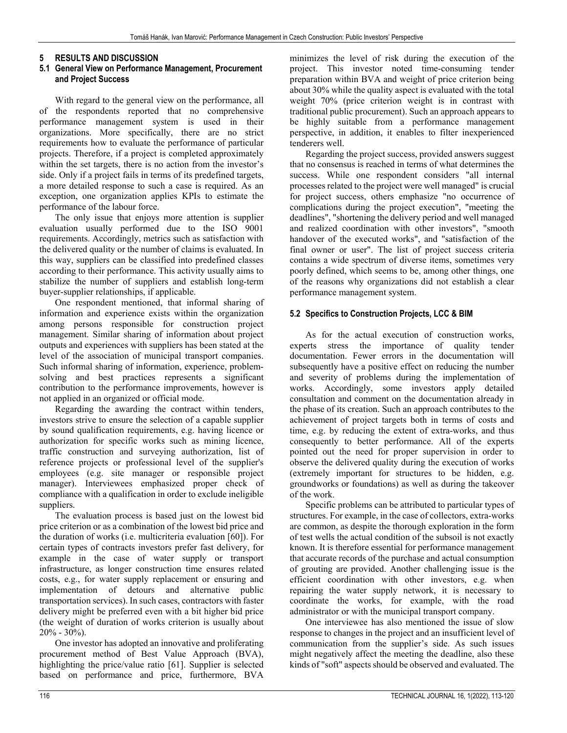### **5 RESULTS AND DISCUSSION**

#### **5.1 General View on Performance Management, Procurement and Project Success**

With regard to the general view on the performance, all of the respondents reported that no comprehensive performance management system is used in their organizations. More specifically, there are no strict requirements how to evaluate the performance of particular projects. Therefore, if a project is completed approximately within the set targets, there is no action from the investor's side. Only if a project fails in terms of its predefined targets, a more detailed response to such a case is required. As an exception, one organization applies KPIs to estimate the performance of the labour force.

The only issue that enjoys more attention is supplier evaluation usually performed due to the ISO 9001 requirements. Accordingly, metrics such as satisfaction with the delivered quality or the number of claims is evaluated. In this way, suppliers can be classified into predefined classes according to their performance. This activity usually aims to stabilize the number of suppliers and establish long-term buyer-supplier relationships, if applicable.

One respondent mentioned, that informal sharing of information and experience exists within the organization among persons responsible for construction project management. Similar sharing of information about project outputs and experiences with suppliers has been stated at the level of the association of municipal transport companies. Such informal sharing of information, experience, problemsolving and best practices represents a significant contribution to the performance improvements, however is not applied in an organized or official mode.

Regarding the awarding the contract within tenders, investors strive to ensure the selection of a capable supplier by sound qualification requirements, e.g. having licence or authorization for specific works such as mining licence, traffic construction and surveying authorization, list of reference projects or professional level of the supplier's employees (e.g. site manager or responsible project manager). Interviewees emphasized proper check of compliance with a qualification in order to exclude ineligible suppliers.

The evaluation process is based just on the lowest bid price criterion or as a combination of the lowest bid price and the duration of works (i.e. multicriteria evaluation [60]). For certain types of contracts investors prefer fast delivery, for example in the case of water supply or transport infrastructure, as longer construction time ensures related costs, e.g., for water supply replacement or ensuring and implementation of detours and alternative public transportation services). In such cases, contractors with faster delivery might be preferred even with a bit higher bid price (the weight of duration of works criterion is usually about  $20\% - 30\%$ ).

One investor has adopted an innovative and proliferating procurement method of Best Value Approach (BVA), highlighting the price/value ratio [61]. Supplier is selected based on performance and price, furthermore, BVA

minimizes the level of risk during the execution of the project. This investor noted time-consuming tender preparation within BVA and weight of price criterion being about 30% while the quality aspect is evaluated with the total weight 70% (price criterion weight is in contrast with traditional public procurement). Such an approach appears to be highly suitable from a performance management perspective, in addition, it enables to filter inexperienced tenderers well.

Regarding the project success, provided answers suggest that no consensus is reached in terms of what determines the success. While one respondent considers "all internal processes related to the project were well managed" is crucial for project success, others emphasize "no occurrence of complications during the project execution", "meeting the deadlines", "shortening the delivery period and well managed and realized coordination with other investors", "smooth handover of the executed works", and "satisfaction of the final owner or user". The list of project success criteria contains a wide spectrum of diverse items, sometimes very poorly defined, which seems to be, among other things, one of the reasons why organizations did not establish a clear performance management system.

#### **5.2 Specifics to Construction Projects, LCC & BIM**

As for the actual execution of construction works, experts stress the importance of quality tender documentation. Fewer errors in the documentation will subsequently have a positive effect on reducing the number and severity of problems during the implementation of works. Accordingly, some investors apply detailed consultation and comment on the documentation already in the phase of its creation. Such an approach contributes to the achievement of project targets both in terms of costs and time, e.g. by reducing the extent of extra-works, and thus consequently to better performance. All of the experts pointed out the need for proper supervision in order to observe the delivered quality during the execution of works (extremely important for structures to be hidden, e.g. groundworks or foundations) as well as during the takeover of the work.

Specific problems can be attributed to particular types of structures. For example, in the case of collectors, extra-works are common, as despite the thorough exploration in the form of test wells the actual condition of the subsoil is not exactly known. It is therefore essential for performance management that accurate records of the purchase and actual consumption of grouting are provided. Another challenging issue is the efficient coordination with other investors, e.g. when repairing the water supply network, it is necessary to coordinate the works, for example, with the road administrator or with the municipal transport company.

One interviewee has also mentioned the issue of slow response to changes in the project and an insufficient level of communication from the supplier's side. As such issues might negatively affect the meeting the deadline, also these kinds of "soft" aspects should be observed and evaluated. The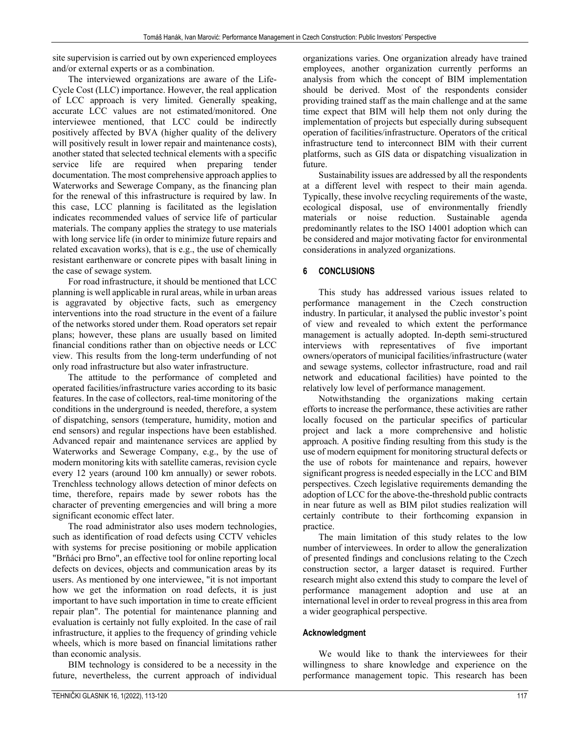site supervision is carried out by own experienced employees and/or external experts or as a combination.

The interviewed organizations are aware of the Life-Cycle Cost (LLC) importance. However, the real application of LCC approach is very limited. Generally speaking, accurate LCC values are not estimated/monitored. One interviewee mentioned, that LCC could be indirectly positively affected by BVA (higher quality of the delivery will positively result in lower repair and maintenance costs), another stated that selected technical elements with a specific service life are required when preparing tender documentation. The most comprehensive approach applies to Waterworks and Sewerage Company, as the financing plan for the renewal of this infrastructure is required by law. In this case, LCC planning is facilitated as the legislation indicates recommended values of service life of particular materials. The company applies the strategy to use materials with long service life (in order to minimize future repairs and related excavation works), that is e.g., the use of chemically resistant earthenware or concrete pipes with basalt lining in the case of sewage system.

For road infrastructure, it should be mentioned that LCC planning is well applicable in rural areas, while in urban areas is aggravated by objective facts, such as emergency interventions into the road structure in the event of a failure of the networks stored under them. Road operators set repair plans; however, these plans are usually based on limited financial conditions rather than on objective needs or LCC view. This results from the long-term underfunding of not only road infrastructure but also water infrastructure.

The attitude to the performance of completed and operated facilities/infrastructure varies according to its basic features. In the case of collectors, real-time monitoring of the conditions in the underground is needed, therefore, a system of dispatching, sensors (temperature, humidity, motion and end sensors) and regular inspections have been established. Advanced repair and maintenance services are applied by Waterworks and Sewerage Company, e.g., by the use of modern monitoring kits with satellite cameras, revision cycle every 12 years (around 100 km annually) or sewer robots. Trenchless technology allows detection of minor defects on time, therefore, repairs made by sewer robots has the character of preventing emergencies and will bring a more significant economic effect later.

The road administrator also uses modern technologies, such as identification of road defects using CCTV vehicles with systems for precise positioning or mobile application "Brňáci pro Brno", an effective tool for online reporting local defects on devices, objects and communication areas by its users. As mentioned by one interviewee, "it is not important how we get the information on road defects, it is just important to have such importation in time to create efficient repair plan". The potential for maintenance planning and evaluation is certainly not fully exploited. In the case of rail infrastructure, it applies to the frequency of grinding vehicle wheels, which is more based on financial limitations rather than economic analysis.

BIM technology is considered to be a necessity in the future, nevertheless, the current approach of individual organizations varies. One organization already have trained employees, another organization currently performs an analysis from which the concept of BIM implementation should be derived. Most of the respondents consider providing trained staff as the main challenge and at the same time expect that BIM will help them not only during the implementation of projects but especially during subsequent operation of facilities/infrastructure. Operators of the critical infrastructure tend to interconnect BIM with their current platforms, such as GIS data or dispatching visualization in future.

Sustainability issues are addressed by all the respondents at a different level with respect to their main agenda. Typically, these involve recycling requirements of the waste, ecological disposal, use of environmentally friendly materials or noise reduction. Sustainable agenda predominantly relates to the ISO 14001 adoption which can be considered and major motivating factor for environmental considerations in analyzed organizations.

## **6 CONCLUSIONS**

This study has addressed various issues related to performance management in the Czech construction industry. In particular, it analysed the public investor's point of view and revealed to which extent the performance management is actually adopted. In-depth semi-structured interviews with representatives of five important owners/operators of municipal facilities/infrastructure (water and sewage systems, collector infrastructure, road and rail network and educational facilities) have pointed to the relatively low level of performance management.

Notwithstanding the organizations making certain efforts to increase the performance, these activities are rather locally focused on the particular specifics of particular project and lack a more comprehensive and holistic approach. A positive finding resulting from this study is the use of modern equipment for monitoring structural defects or the use of robots for maintenance and repairs, however significant progress is needed especially in the LCC and BIM perspectives. Czech legislative requirements demanding the adoption of LCC for the above-the-threshold public contracts in near future as well as BIM pilot studies realization will certainly contribute to their forthcoming expansion in practice.

The main limitation of this study relates to the low number of interviewees. In order to allow the generalization of presented findings and conclusions relating to the Czech construction sector, a larger dataset is required. Further research might also extend this study to compare the level of performance management adoption and use at an international level in order to reveal progress in this area from a wider geographical perspective.

## **Acknowledgment**

We would like to thank the interviewees for their willingness to share knowledge and experience on the performance management topic. This research has been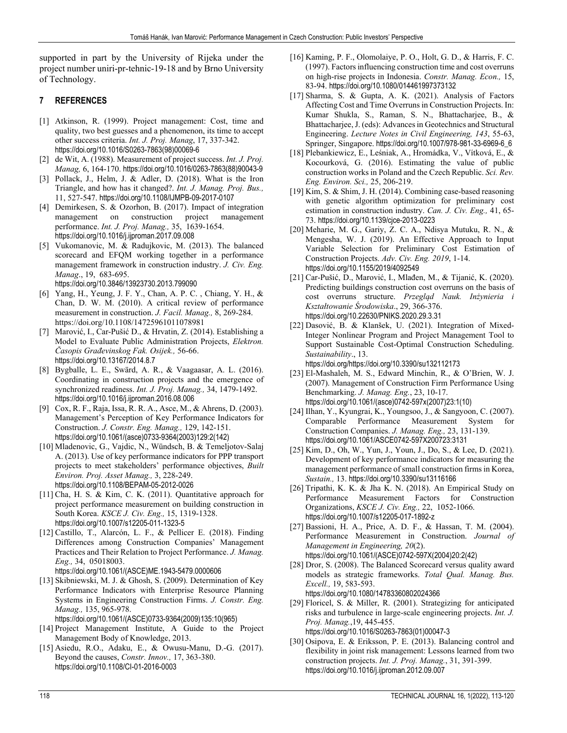supported in part by the University of Rijeka under the project number uniri-pr-tehnic-19-18 and by Brno University of Technology.

## **7 REFERENCES**

- [1] Atkinson, R. (1999). Project management: Cost, time and quality, two best guesses and a phenomenon, its time to accept other success criteria. *Int. J. Proj. Manag*, 17, 337-342. https://doi.org/10.1016/S0263-7863(98)00069-6
- [2] de Wit, A. (1988). Measurement of project success. *Int. J. Proj. Manag,* 6, 164-170. https://doi.org/10.1016/0263-7863(88)90043-9
- [3] Pollack, J., Helm, J. & Adler, D. (2018). What is the Iron Triangle, and how has it changed?. *Int. J. Manag. Proj. Bus.,* 11, 527-547. https://doi.org/10.1108/IJMPB-09-2017-0107
- [4] Demirkesen, S. & Ozorhon, B. (2017). Impact of integration construction project management performance. *Int. J. Proj. Manag.,* 35, 1639-1654. https://doi.org/10.1016/j.ijproman.2017.09.008
- [5] Vukomanovic, M. & Radujkovic, M. (2013). The balanced scorecard and EFQM working together in a performance management framework in construction industry. *J. Civ. Eng. Manag*., 19, 683-695. https://doi.org/10.3846/13923730.2013.799090
- [6] Yang, H., Yeung, J. F. Y., Chan, A. P. C. , Chiang, Y. H., & Chan, D. W. M. (2010). A critical review of performance measurement in construction. *J. Facil. Manag.,* 8, 269-284. https://doi.org/10.1108/14725961011078981
- [7] Marović, I., Car-Pušić D., & Hrvatin, Z. (2014). Establishing a Model to Evaluate Public Administration Projects, *Elektron. Časopis Građevinskog Fak. Osijek.,* 56-66. https://doi.org/10.13167/2014.8.7
- [8] Bygballe, L. E., Swärd, A. R., & Vaagaasar, A. L. (2016). Coordinating in construction projects and the emergence of synchronized readiness. *Int. J. Proj. Manag.,* 34, 1479-1492. https://doi.org/10.1016/j.ijproman.2016.08.006
- [9] Cox, R. F., Raja, Issa, R. R. A., Asce, M., & Ahrens, D. (2003). Management's Perception of Key Performance Indicators for Construction. *J. Constr. Eng. Manag.,* 129, 142-151. https://doi.org/10.1061/(asce)0733-9364(2003)129:2(142)
- [10] Mladenovic, G., Vajdic, N., Wündsch, B. & Temeljotov-Salaj A. (2013). Use of key performance indicators for PPP transport projects to meet stakeholders' performance objectives, *Built Environ. Proj. Asset Manag.,* 3, 228-249. https://doi.org/10.1108/BEPAM-05-2012-0026
- [11] Cha, H. S. & Kim, C. K. (2011). Quantitative approach for project performance measurement on building construction in South Korea. *KSCE J. Civ. Eng.,* 15, 1319-1328. https://doi.org/10.1007/s12205-011-1323-5
- [12] Castillo, T., Alarcón, L. F., & Pellicer E. (2018). Finding Differences among Construction Companies' Management Practices and Their Relation to Project Performance. *J. Manag. Eng.,* 34, 05018003. https://doi.org/10.1061/(ASCE)ME.1943-5479.0000606
- [13] Skibniewski, M. J. & Ghosh, S. (2009). Determination of Key Performance Indicators with Enterprise Resource Planning Systems in Engineering Construction Firms. *J. Constr. Eng. Manag.,* 135, 965-978.

https://doi.org/10.1061/(ASCE)0733-9364(2009)135:10(965)

- [14] Project Management Institute, A Guide to the Project Management Body of Knowledge, 2013.
- [15] Asiedu, R.O., Adaku, E., & Owusu-Manu, D.-G. (2017). Beyond the causes, *Constr. Innov.,* 17, 363-380. https://doi.org/10.1108/CI-01-2016-0003
- [16] Kaming, P. F., Olomolaiye, P. O., Holt, G. D., & Harris, F. C. (1997). Factors influencing construction time and cost overruns on high-rise projects in Indonesia. *Constr. Manag. Econ.,* 15, 83-94. https://doi.org/10.1080/014461997373132
- [17] Sharma, S. & Gupta, A. K. (2021). Analysis of Factors Affecting Cost and Time Overruns in Construction Projects. In: Kumar Shukla, S., Raman, S. N., Bhattacharjee, B., & Bhattacharjee, J. (eds): Advances in Geotechnics and Structural Engineering. *Lecture Notes in Civil Engineering, 143*, 55-63, Springer, Singapore. https://doi.org/10.1007/978-981-33-6969-6\_6
- [18] Plebankiewicz, E., Leśniak, A., Hromádka, V., Vítková, E., & Kocourková, G. (2016). Estimating the value of public construction works in Poland and the Czech Republic. *Sci. Rev. Eng. Environ. Sci.,* 25, 206-219.
- [19] Kim, S. & Shim, J. H. (2014). Combining case-based reasoning with genetic algorithm optimization for preliminary cost estimation in construction industry. *Can. J. Civ. Eng.,* 41, 65- 73. https://doi.org/10.1139/cjce-2013-0223
- [20] Meharie, M. G., Gariy, Z. C. A., Ndisya Mutuku, R. N., & Mengesha, W. J. (2019). An Effective Approach to Input Variable Selection for Preliminary Cost Estimation of Construction Projects. *Adv. Civ. Eng. 2019*, 1-14. https://doi.org/10.1155/2019/4092549
- [21] Car-Pušić, D., Marović, I., Mlađen, M., & Tijanić, K. (2020). Predicting buildings construction cost overruns on the basis of cost overruns structure. *Przegląd Nauk. Inżynieria i Kształtowanie Środowiska*., 29, 366-376. https://doi.org/10.22630/PNIKS.2020.29.3.31
- [22] Dasović, B. & Klanšek, U. (2021). Integration of Mixed-Integer Nonlinear Program and Project Management Tool to Support Sustainable Cost-Optimal Construction Scheduling. *Sustainability*., 13.

https://doi.org/https://doi.org/10.3390/su132112173

- [23] El-Mashaleh, M. S., Edward Minchin, R., & O'Brien, W. J. (2007). Management of Construction Firm Performance Using Benchmarking. *J. Manag. Eng.*, 23, 10-17. https://doi.org/10.1061/(asce)0742-597x(2007)23:1(10)
- [24] Ilhan, Y., Kyungrai, K., Youngsoo, J., & Sangyoon, C. (2007). Comparable Performance Measurement System for Construction Companies. *J. Manag. Eng.,* 23, 131-139. https://doi.org/10.1061/ASCE0742-597X200723:3131
- [25] Kim, D., Oh, W., Yun, J., Youn, J., Do, S., & Lee, D. (2021). Development of key performance indicators for measuring the management performance of small construction firms in Korea, *Sustain.,* 13. https://doi.org/10.3390/su13116166
- [26] Tripathi, K. K. & Jha K. N. (2018). An Empirical Study on Performance Measurement Factors for Construction Organizations, *KSCE J. Civ. Eng.,* 22, 1052-1066. https://doi.org/10.1007/s12205-017-1892-z
- [27] Bassioni, H. A., Price, A. D. F., & Hassan, T. M. (2004). Performance Measurement in Construction. *Journal of Management in Engineering, 20*(2). https://doi.org/10.1061/(ASCE)0742-597X(2004)20:2(42)
- [28] Dror, S. (2008). The Balanced Scorecard versus quality award models as strategic frameworks. *Total Qual. Manag. Bus. Excell.,* 19, 583-593. https://doi.org/10.1080/14783360802024366
- [29] Floricel, S. & Miller, R. (2001). Strategizing for anticipated risks and turbulence in large-scale engineering projects. *Int. J. Proj. Manag.*,19, 445-455. https://doi.org/10.1016/S0263-7863(01)00047-3
- [30] Osipova, E. & Eriksson, P. E. (2013). Balancing control and flexibility in joint risk management: Lessons learned from two construction projects. *Int. J. Proj. Manag.*, 31, 391-399. https://doi.org/10.1016/j.ijproman.2012.09.007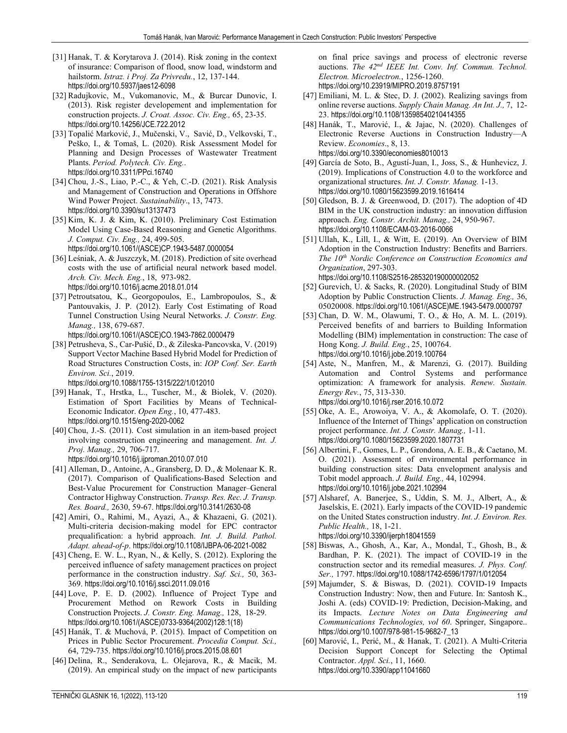- [31] Hanak, T. & Korytarova J. (2014). Risk zoning in the context of insurance: Comparison of flood, snow load, windstorm and hailstorm. *Istraz. i Proj. Za Privredu.*, 12, 137-144. https://doi.org/10.5937/jaes12-6098
- [32] Radujkovic, M., Vukomanovic, M., & Burcar Dunovic, I. (2013). Risk register developement and implementation for construction projects. *J. Croat. Assoc. Civ. Eng.,* 65, 23-35. https://doi.org/10.14256/JCE.722.2012
- [33] Topalić Marković, J., Mučenski, V., Savić, D., Velkovski, T., Peško, I., & Tomaš, L. (2020). Risk Assessment Model for Planning and Design Processes of Wastewater Treatment Plants. *Period. Polytech. Civ. Eng.*. https://doi.org/10.3311/PPci.16740
- [34] Chou, J.-S., Liao, P.-C., & Yeh, C.-D. (2021). Risk Analysis and Management of Construction and Operations in Offshore Wind Power Project. *Sustainability*., 13, 7473. https://doi.org/10.3390/su13137473
- [35] Kim, K. J. & Kim, K. (2010). Preliminary Cost Estimation Model Using Case-Based Reasoning and Genetic Algorithms. *J. Comput. Civ. Eng.,* 24, 499-505. https://doi.org/10.1061/(ASCE)CP.1943-5487.0000054
- [36] Leśniak, A. & Juszczyk, M. (2018). Prediction of site overhead costs with the use of artificial neural network based model. *Arch. Civ. Mech. Eng.*, 18, 973-982. https://doi.org/10.1016/j.acme.2018.01.014
- [37] Petroutsatou, K., Georgopoulos, E., Lambropoulos, S., & Pantouvakis, J. P. (2012). Early Cost Estimating of Road Tunnel Construction Using Neural Networks. *J. Constr. Eng. Manag.,* 138, 679-687. https://doi.org/10.1061/(ASCE)CO.1943-7862.0000479
- [38] Petrusheva, S., Car-Pušić, D., & Zileska-Pancovska, V. (2019) Support Vector Machine Based Hybrid Model for Prediction of Road Structures Construction Costs, in: *IOP Conf. Ser. Earth Environ. Sci.*, 2019.

https://doi.org/10.1088/1755-1315/222/1/012010

- [39] Hanak, T., Hrstka, L., Tuscher, M., & Biolek, V. (2020). Estimation of Sport Facilities by Means of Technical-Economic Indicator. *Open Eng.*, 10, 477-483. https://doi.org/10.1515/eng-2020-0062
- [40] Chou, J.-S. (2011). Cost simulation in an item-based project involving construction engineering and management. *Int. J. Proj. Manag.,* 29, 706-717.
	- https://doi.org/10.1016/j.ijproman.2010.07.010
- [41] Alleman, D., Antoine, A., Gransberg, D. D., & Molenaar K. R. (2017). Comparison of Qualifications-Based Selection and Best-Value Procurement for Construction Manager–General Contractor Highway Construction. *Transp. Res. Rec. J. Transp. Res. Board.,* 2630, 59-67. https://doi.org/10.3141/2630-08
- [42] Amiri, O., Rahimi, M., Ayazi, A., & Khazaeni, G. (2021). Multi-criteria decision-making model for EPC contractor prequalification: a hybrid approach. *Int. J. Build. Pathol. Adapt. ahead-of-p*. https://doi.org/10.1108/IJBPA-06-2021-0082
- [43] Cheng, E. W. L., Ryan, N., & Kelly, S. (2012). Exploring the perceived influence of safety management practices on project performance in the construction industry. *Saf. Sci.,* 50, 363- 369. https://doi.org/10.1016/j.ssci.2011.09.016
- [44] Love, P. E. D. (2002). Influence of Project Type and Procurement Method on Rework Costs in Building Construction Projects. *J. Constr. Eng. Manag.,* 128, 18-29. https://doi.org/10.1061/(ASCE)0733-9364(2002)128:1(18)
- [45] Hanák, T. & Muchová, P. (2015). Impact of Competition on Prices in Public Sector Procurement. *Procedia Comput. Sci.,* 64, 729-735. https://doi.org/10.1016/j.procs.2015.08.601
- [46] Delina, R., Senderakova, L. Olejarova, R., & Macik, M. (2019). An empirical study on the impact of new participants

on final price savings and process of electronic reverse auctions. *The 42nd IEEE Int. Conv. Inf. Commun. Technol. Electron. Microelectron.*, 1256-1260. https://doi.org/10.23919/MIPRO.2019.8757191

- [47] Emiliani, M. L. & Stec, D. J. (2002). Realizing savings from online reverse auctions. *Supply Chain Manag. An Int. J.,* 7, 12- 23. https://doi.org/10.1108/13598540210414355
- [48] Hanák, T., Marović, I., & Jajac, N. (2020). Challenges of Electronic Reverse Auctions in Construction Industry—A Review. *Economies*., 8, 13. https://doi.org/10.3390/economies8010013
- [49] García de Soto, B., Agustí-Juan, I., Joss, S., & Hunhevicz, J. (2019). Implications of Construction 4.0 to the workforce and organizational structures. *Int. J. Constr. Manag.* 1-13. https://doi.org/10.1080/15623599.2019.1616414
- [50] Gledson, B. J. & Greenwood, D. (2017). The adoption of 4D BIM in the UK construction industry: an innovation diffusion approach. *Eng. Constr. Archit. Manag.,* 24, 950-967. https://doi.org/10.1108/ECAM-03-2016-0066
- [51] Ullah, K., Lill, I., & Witt, E. (2019). An Overview of BIM Adoption in the Construction Industry: Benefits and Barriers. *The 10th Nordic Conference on Construction Economics and Organization*, 297-303. https://doi.org/10.1108/S2516-285320190000002052
- [52] Gurevich, U. & Sacks, R. (2020). Longitudinal Study of BIM Adoption by Public Construction Clients. *J. Manag. Eng.,* 36, 05020008. https://doi.org/10.1061/(ASCE)ME.1943-5479.0000797
- [53] Chan, D. W. M., Olawumi, T. O., & Ho, A. M. L. (2019). Perceived benefits of and barriers to Building Information Modelling (BIM) implementation in construction: The case of Hong Kong. *J. Build. Eng.*, 25, 100764. https://doi.org/10.1016/j.jobe.2019.100764
- [54] Aste, N., Manfren, M., & Marenzi, G. (2017). Building Automation and Control Systems and performance optimization: A framework for analysis. *Renew. Sustain. Energy Rev.*, 75, 313-330. https://doi.org/10.1016/j.rser.2016.10.072
- [55] Oke, A. E., Arowoiya, V. A., & Akomolafe, O. T. (2020). Influence of the Internet of Things' application on construction project performance. *Int. J. Constr. Manag.,* 1-11. https://doi.org/10.1080/15623599.2020.1807731
- [56] Albertini, F., Gomes, L. P., Grondona, A. E. B., & Caetano, M. O. (2021). Assessment of environmental performance in building construction sites: Data envelopment analysis and Tobit model approach. *J. Build. Eng.,* 44, 102994. https://doi.org/10.1016/j.jobe.2021.102994
- [57] Alsharef, A. Banerjee, S., Uddin, S. M. J., Albert, A., & Jaselskis, E. (2021). Early impacts of the COVID-19 pandemic on the United States construction industry. *Int. J. Environ. Res. Public Health.,* 18, 1-21. https://doi.org/10.3390/ijerph18041559
- [58] Biswas, A., Ghosh, A., Kar, A., Mondal, T., Ghosh, B., & Bardhan, P. K. (2021). The impact of COVID-19 in the construction sector and its remedial measures. *J. Phys. Conf. Ser.,* 1797. https://doi.org/10.1088/1742-6596/1797/1/012054
- [59] Majumder, S. & Biswas, D. (2021). COVID-19 Impacts Construction Industry: Now, then and Future. In: Santosh K., Joshi A. (eds) COVID-19: Prediction, Decision-Making, and its Impacts. *Lecture Notes on Data Engineering and Communications Technologies, vol 60*. Springer, Singapore.. https://doi.org/10.1007/978-981-15-9682-7\_13
- [60] Marović, I., Perić, M., & Hanak, T. (2021). A Multi-Criteria Decision Support Concept for Selecting the Optimal Contractor. *Appl. Sci.*, 11, 1660. https://doi.org/10.3390/app11041660